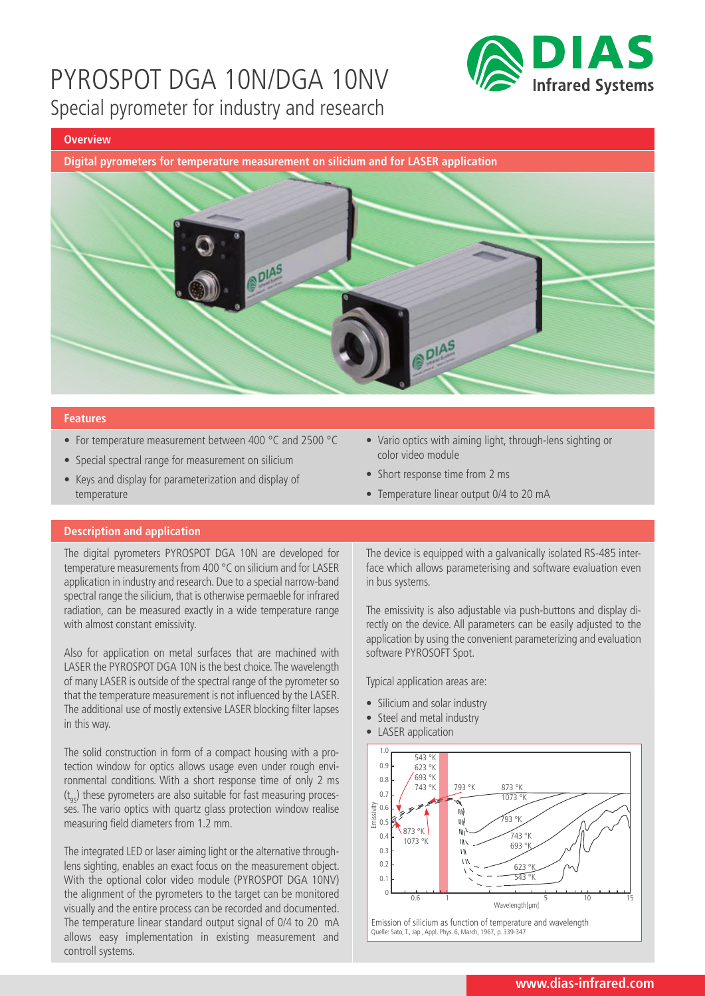

#### **Overview**

**Digital pyrometers for temperature measurement on silicium and for LASER application**



#### **Features**

- For temperature measurement between 400 °C and 2500 °C
- Special spectral range for measurement on silicium
- Keys and display for parameterization and display of temperature
- Vario optics with aiming light, through-lens sighting or color video module
- Short response time from 2 ms
- Temperature linear output 0/4 to 20 mA

### **Description and application**

The digital pyrometers PYROSPOT DGA 10N are developed for temperature measurements from 400 °C on silicium and for LASER application in industry and research. Due to a special narrow-band spectral range the silicium, that is otherwise permaeble for infrared radiation, can be measured exactly in a wide temperature range with almost constant emissivity.

Also for application on metal surfaces that are machined with LASER the PYROSPOT DGA 10N is the best choice. The wavelength of many LASER is outside of the spectral range of the pyrometer so that the temperature measurement is not influenced by the LASER. The additional use of mostly extensive LASER blocking filter lapses in this way.

The solid construction in form of a compact housing with a protection window for optics allows usage even under rough environmental conditions. With a short response time of only 2 ms  $(t_{\text{0}})$  these pyrometers are also suitable for fast measuring processes. The vario optics with quartz glass protection window realise measuring field diameters from 1.2 mm.

The integrated LED or laser aiming light or the alternative throughlens sighting, enables an exact focus on the measurement object. With the optional color video module (PYROSPOT DGA 10NV) the alignment of the pyrometers to the target can be monitored visually and the entire process can be recorded and documented. The temperature linear standard output signal of 0/4 to 20 mA allows easy implementation in existing measurement and controll systems.

The device is equipped with a galvanically isolated RS-485 interface which allows parameterising and software evaluation even in bus systems.

The emissivity is also adjustable via push-buttons and display directly on the device. All parameters can be easily adjusted to the application by using the convenient parameterizing and evaluation software PYROSOFT Spot.

Typical application areas are:

- Silicium and solar industry
- Steel and metal industry
- LASER application



Quelle: Sato, T., Jap., Appl. Phys. 6, March, 1967, p. 339-347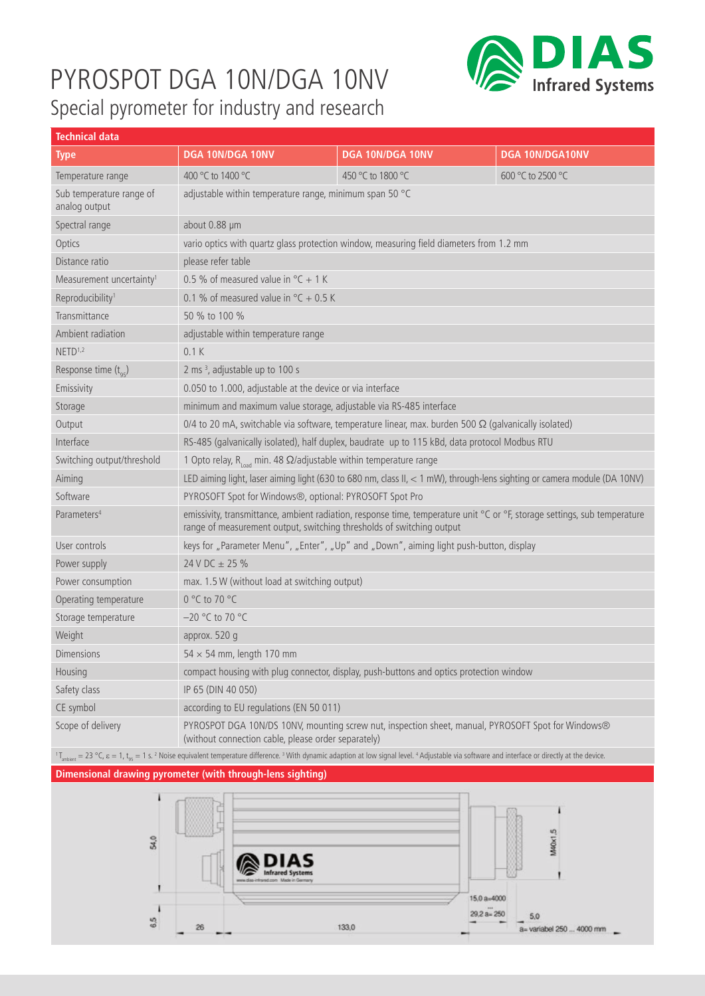

| <b>Technical data</b>                                                                                                                                                                                                                                                                     |                                                                                                                                                                                                    |                   |                   |  |  |  |
|-------------------------------------------------------------------------------------------------------------------------------------------------------------------------------------------------------------------------------------------------------------------------------------------|----------------------------------------------------------------------------------------------------------------------------------------------------------------------------------------------------|-------------------|-------------------|--|--|--|
| Type                                                                                                                                                                                                                                                                                      | DGA 10N/DGA 10NV                                                                                                                                                                                   | DGA 10N/DGA 10NV  | DGA 10N/DGA10NV   |  |  |  |
| Temperature range                                                                                                                                                                                                                                                                         | 400 °C to 1400 °C                                                                                                                                                                                  | 450 °C to 1800 °C | 600 °C to 2500 °C |  |  |  |
| Sub temperature range of<br>analog output                                                                                                                                                                                                                                                 | adjustable within temperature range, minimum span 50 °C                                                                                                                                            |                   |                   |  |  |  |
| Spectral range                                                                                                                                                                                                                                                                            | about 0.88 µm                                                                                                                                                                                      |                   |                   |  |  |  |
| Optics                                                                                                                                                                                                                                                                                    | vario optics with quartz glass protection window, measuring field diameters from 1.2 mm                                                                                                            |                   |                   |  |  |  |
| Distance ratio                                                                                                                                                                                                                                                                            | please refer table                                                                                                                                                                                 |                   |                   |  |  |  |
| Measurement uncertainty <sup>1</sup>                                                                                                                                                                                                                                                      | 0.5 % of measured value in ${}^{\circ}$ C + 1 K                                                                                                                                                    |                   |                   |  |  |  |
| Reproducibility <sup>1</sup>                                                                                                                                                                                                                                                              | 0.1 % of measured value in $\degree$ C + 0.5 K                                                                                                                                                     |                   |                   |  |  |  |
| Transmittance                                                                                                                                                                                                                                                                             | 50 % to 100 %                                                                                                                                                                                      |                   |                   |  |  |  |
| Ambient radiation                                                                                                                                                                                                                                                                         | adjustable within temperature range                                                                                                                                                                |                   |                   |  |  |  |
| NETD <sup>1,2</sup>                                                                                                                                                                                                                                                                       | 0.1K                                                                                                                                                                                               |                   |                   |  |  |  |
| Response time (toc)                                                                                                                                                                                                                                                                       | 2 ms <sup>3</sup> , adjustable up to 100 s                                                                                                                                                         |                   |                   |  |  |  |
| Emissivity                                                                                                                                                                                                                                                                                | 0.050 to 1.000, adjustable at the device or via interface                                                                                                                                          |                   |                   |  |  |  |
| Storage                                                                                                                                                                                                                                                                                   | minimum and maximum value storage, adjustable via RS-485 interface                                                                                                                                 |                   |                   |  |  |  |
| Output                                                                                                                                                                                                                                                                                    | 0/4 to 20 mA, switchable via software, temperature linear, max. burden 500 $\Omega$ (galvanically isolated)                                                                                        |                   |                   |  |  |  |
| Interface                                                                                                                                                                                                                                                                                 | RS-485 (galvanically isolated), half duplex, baudrate up to 115 kBd, data protocol Modbus RTU                                                                                                      |                   |                   |  |  |  |
| Switching output/threshold                                                                                                                                                                                                                                                                | 1 Opto relay, $R_{load}$ min. 48 $\Omega$ /adjustable within temperature range                                                                                                                     |                   |                   |  |  |  |
| Aiming                                                                                                                                                                                                                                                                                    | LED aiming light, laser aiming light (630 to 680 nm, class II, < 1 mW), through-lens sighting or camera module (DA 10NV)                                                                           |                   |                   |  |  |  |
| Software                                                                                                                                                                                                                                                                                  | PYROSOFT Spot for Windows®, optional: PYROSOFT Spot Pro                                                                                                                                            |                   |                   |  |  |  |
| Parameters <sup>4</sup>                                                                                                                                                                                                                                                                   | emissivity, transmittance, ambient radiation, response time, temperature unit °C or °F, storage settings, sub temperature<br>range of measurement output, switching thresholds of switching output |                   |                   |  |  |  |
| User controls                                                                                                                                                                                                                                                                             | keys for "Parameter Menu", "Enter", "Up" and "Down", aiming light push-button, display                                                                                                             |                   |                   |  |  |  |
| Power supply                                                                                                                                                                                                                                                                              | 24 V DC $\pm$ 25 %                                                                                                                                                                                 |                   |                   |  |  |  |
| Power consumption                                                                                                                                                                                                                                                                         | max. 1.5 W (without load at switching output)                                                                                                                                                      |                   |                   |  |  |  |
| Operating temperature                                                                                                                                                                                                                                                                     | 0 °C to 70 °C                                                                                                                                                                                      |                   |                   |  |  |  |
| Storage temperature                                                                                                                                                                                                                                                                       | -20 °C to 70 °C                                                                                                                                                                                    |                   |                   |  |  |  |
| Weight                                                                                                                                                                                                                                                                                    | approx. 520 g                                                                                                                                                                                      |                   |                   |  |  |  |
| <b>Dimensions</b>                                                                                                                                                                                                                                                                         | $54 \times 54$ mm, length 170 mm                                                                                                                                                                   |                   |                   |  |  |  |
| Housing                                                                                                                                                                                                                                                                                   | compact housing with plug connector, display, push-buttons and optics protection window                                                                                                            |                   |                   |  |  |  |
| Safety class                                                                                                                                                                                                                                                                              | IP 65 (DIN 40 050)                                                                                                                                                                                 |                   |                   |  |  |  |
| CE symbol                                                                                                                                                                                                                                                                                 | according to EU regulations (EN 50 011)                                                                                                                                                            |                   |                   |  |  |  |
| Scope of delivery                                                                                                                                                                                                                                                                         | PYROSPOT DGA 10N/DS 10NV, mounting screw nut, inspection sheet, manual, PYROSOFT Spot for Windows®<br>(without connection cable, please order separately)                                          |                   |                   |  |  |  |
| $1$ <sub>T<sub>ambien</sub> = 23 °C, <math>\varepsilon</math> = 1, t<sub>as</sub> = 1 s. <sup>2</sup> Noise equivalent temperature difference.<sup>3</sup> With dynamic adaption at low signal level. <sup>4</sup> Adjustable via software and interface or directly at the device.</sub> |                                                                                                                                                                                                    |                   |                   |  |  |  |

### **Dimensional drawing pyrometer (with through-lens sighting)**

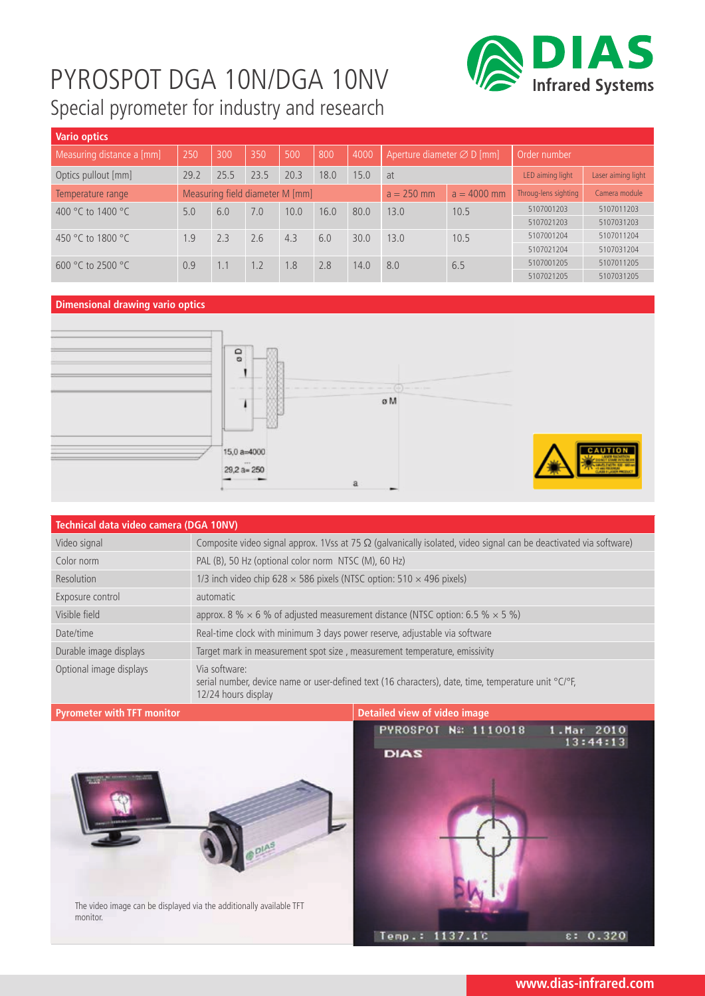

| <b>Vario optics</b>                            |                                 |      |      |                |               |                      |                                                        |      |                    |            |
|------------------------------------------------|---------------------------------|------|------|----------------|---------------|----------------------|--------------------------------------------------------|------|--------------------|------------|
| Measuring distance a [mm]                      | 250                             | 300  | 350  | 500            | 800           | 4000                 | Order number<br>Aperture diameter $\varnothing$ D [mm] |      |                    |            |
| Optics pullout [mm]                            | 29.2                            | 25.5 | 23.5 | 20.3           | 18.0          | 15.0                 | LED aiming light<br>at                                 |      | Laser aiming light |            |
| Temperature range                              | Measuring field diameter M [mm] |      |      | $a = 250$ mm   | $a = 4000$ mm | Throug-lens sighting | Camera module                                          |      |                    |            |
| 400 °C to 1400 °C<br>7.0<br>10.0<br>6.0<br>5.0 | 16.0                            | 80.0 | 13.0 | 10.5           | 5107001203    | 5107011203           |                                                        |      |                    |            |
|                                                |                                 |      |      |                |               |                      |                                                        |      | 5107021203         | 5107031203 |
| 450 °C to 1800 °C                              | 2.3<br>1.9                      |      | 2.6  | 4.3            | 6.0           | 30.0                 | 13.0                                                   | 10.5 | 5107001204         | 5107011204 |
|                                                |                                 |      |      |                | 5107021204    | 5107031204           |                                                        |      |                    |            |
| 600 °C to 2500 °C                              | 0.9<br>1.1                      |      | 1.2  | 8 <sub>1</sub> | 2.8           | 14.0                 | 8.0                                                    | 6.5  | 5107001205         | 5107011205 |
|                                                |                                 |      |      |                |               |                      |                                                        |      | 5107021205         | 5107031205 |

### **Dimensional drawing vario optics**





| Technical data video camera (DGA 10NV) |                                                                                                                                              |
|----------------------------------------|----------------------------------------------------------------------------------------------------------------------------------------------|
| Video signal                           | Composite video signal approx. 1Vss at 75 $\Omega$ (galvanically isolated, video signal can be deactivated via software)                     |
| Color norm                             | PAL (B), 50 Hz (optional color norm NTSC (M), 60 Hz)                                                                                         |
| Resolution                             | 1/3 inch video chip 628 $\times$ 586 pixels (NTSC option: 510 $\times$ 496 pixels)                                                           |
| Exposure control                       | automatic                                                                                                                                    |
| Visible field                          | approx. 8 % $\times$ 6 % of adjusted measurement distance (NTSC option: 6.5 % $\times$ 5 %)                                                  |
| Date/time                              | Real-time clock with minimum 3 days power reserve, adjustable via software                                                                   |
| Durable image displays                 | Target mark in measurement spot size, measurement temperature, emissivity                                                                    |
| Optional image displays                | Via software:<br>serial number, device name or user-defined text (16 characters), date, time, temperature unit °C/°F,<br>12/24 hours display |

### **Pyrometer with TFT monitor Detailed view of video image**